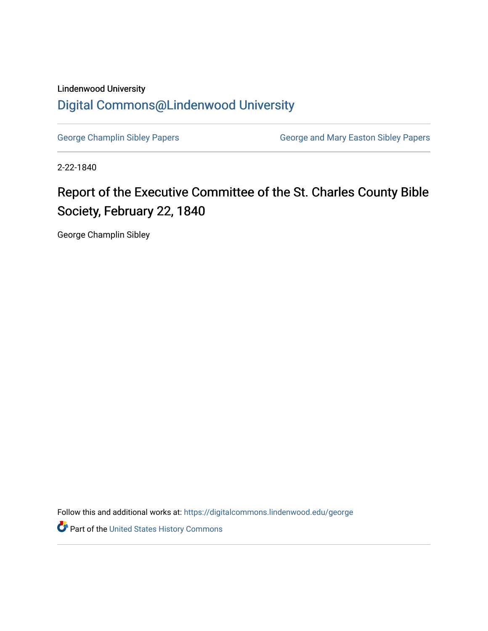## Lindenwood University [Digital Commons@Lindenwood University](https://digitalcommons.lindenwood.edu/)

[George Champlin Sibley Papers](https://digitalcommons.lindenwood.edu/george) **George and Mary Easton Sibley Papers** George and Mary Easton Sibley Papers

2-22-1840

## Report of the Executive Committee of the St. Charles County Bible Society, February 22, 1840

George Champlin Sibley

Follow this and additional works at: [https://digitalcommons.lindenwood.edu/george](https://digitalcommons.lindenwood.edu/george?utm_source=digitalcommons.lindenwood.edu%2Fgeorge%2F320&utm_medium=PDF&utm_campaign=PDFCoverPages)

Part of the [United States History Commons](http://network.bepress.com/hgg/discipline/495?utm_source=digitalcommons.lindenwood.edu%2Fgeorge%2F320&utm_medium=PDF&utm_campaign=PDFCoverPages)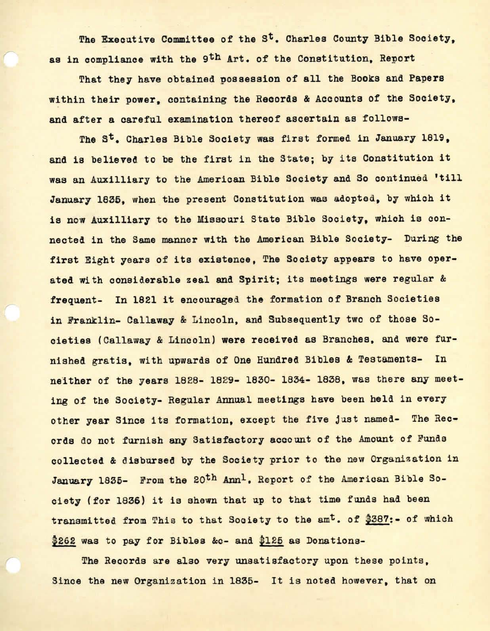The Executive Committee of the S<sup>t</sup>. Charles County Bible Society, as in compliance with the 9th Art. of the Constitution, Report

That they have obtained possession of all the Books and Papers within their power, containing the Records & Accounts of the Society. and after a careful examination thereof ascertain as follows-

The st. Charles Bible Society was first formed in January 1819, and is believed to be the first in the State; by its Constitution it was an Auxilliary to the American Bible Society and So continued 'till January 1836, when the present Constitution was adopted, by which it is now Auxilliary to the Missouri State Bible Society, which is connected in the Same manner with the American Bible Society- During the first Eight years of its existence. The Society appears to have operated with considerable zeal and Spirit; its meetings were regular & frequent- In 1821 it encouraged the formation of Branch Societies in Franklin- Callaway & Lincoln, and Subsequently two of those Societies (Callaway & Lincoln) **were** received as Branches, and were furnished gratis, with upwards of One Hundred Bibles & Testaments- In neither of the years 1828- 1829- 1830- 1834- 1838, was there any meeting of the Society- Regular Annual meetings have been held in every other year Since its formation, except the five just named- The Records do not furnish any Satisfactory account of the Amount of Funds collected & disbursed by the Society prior to the new Organization in January 1835- From the 20<sup>th</sup> Ann<sup>1</sup>. Report of the American Bible Society (for 1836) it is shewn that up to that time funds had been transmitted from This to that Society to the am<sup>t</sup>. of \$387:- of which \$262 was to pay for Bibles &c- and \$125 as Donations-

The Records are also very unsatisfactory upon these points, Since the new Organization in 1836- It is noted however, that on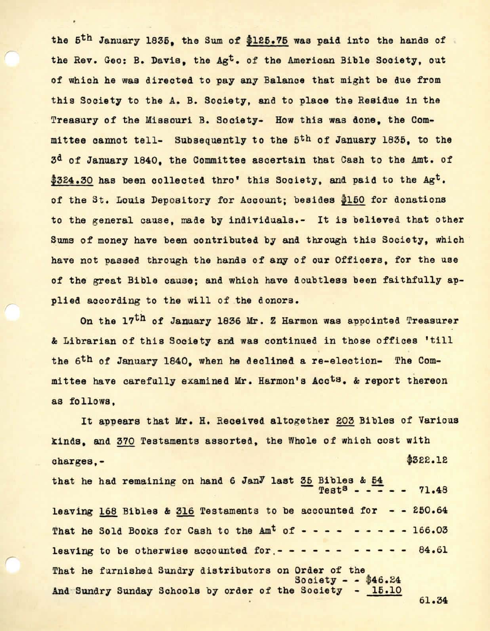the 5<sup>th</sup> January 1835, the Sum of \$125.75 was paid into the hands of the Rev. Geo: B. Davia, the Agt. of the American Bible Society, out of which be was directed to pay any Balance that might be due from this Society to the A. B. Society, and to place the Residue in the Treasury of the Missouri B. Society- How this was done. the Committee cannot tell- Subsequently to the 5th of January 1836, to the 3d of January 1840, the Committee ascertain that Cash to the Amt. of \$324.30 has been collected thro' this Society, and paid to the Agt. of the St. Louis Depository for Account; besides \$150 for donations to the general cause, made by individuals.- It is believed that other Sums of money have been contributed by and through this Society, which have not passed through the hands of any of our Officers, for the use of the great Bible cause; and which have doubtless been faithfully applied according to the will of the donors.

On the 17th of January 1836 Mr. Z Harmon was appointed Treasurer & Librarian of this Society and was continued in those offices 'till the 6th of January 1840, when he declined a re-election- The Committee have carefully examined Mr. Harmon's Acots. & report thereon as follows,

It appears that Mr. H. Received altogether 203 Bibles of Various kinds, and 370 Testaments assorted, the Whole of which cost with charges,- \$322.12 that he had remaining on hand 6 Jan<sup>y</sup> last 35 Bibles & 54  $Test<sup>8</sup> - - - - - 71.48$ leaving 168 Bibles & 316 Testaments to be accounted for  $-$  - 250.64 That he Sold Books for Cash to the  $Am<sup>t</sup>$  of  $- - - - - - - - - - - 166.03$ leaving to be otherwise accounted for  $- - - - - - - - - - - - - 84.61$ That he furnished Sundry distributors on Order of the Society - - \$46.24<br>Society - 15.10 And Sundry Sunday Schools by order of the Society 61.34

*r*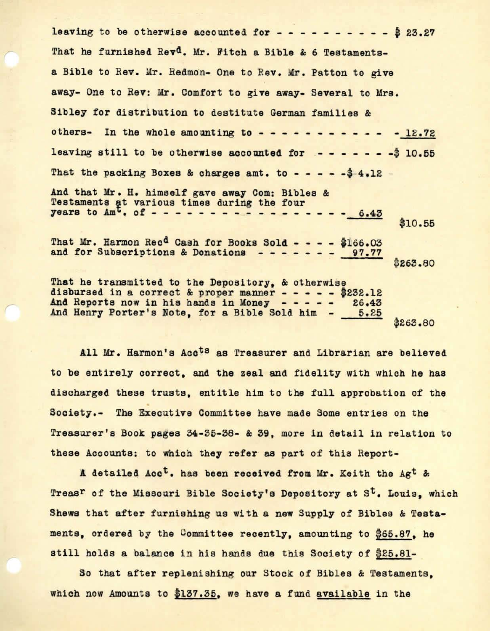leaving to be otherwise accounted for  $- - - - - - - - - - - - 23.27$ That he furnished Rev<sup>d</sup>. Mr. Fitch a Bible & 6 Testamentsa Bible to Rev. Mr. Redmon- One to Rev. Mr. Patton to give away- One to Rev: Mr. Comfort to give away- Several to Mrs. Sibley for distribution to destitute German families & others- In the whole amounting to - - - - - - 12.72 leaving still to be otherwise accounted for  $- - - - - - - 10.55$ That the packing Boxes & charges amt. to - - - -  $-$  4.12 -And that Mr. H. himself gave **away** Com: Bibles & Testaments at various times during the four **years to**  $Am^t$ **. of - - - - - - - - - - - - - - - - 6.43** That Mr. Harmon Rec<sup>d</sup> Cash for Books Sold - - - - \$166.03 and for Subscriptions & Donations - - - - - - 97.77 That he transmitted to the Depository, & otherwise disbursed in a correct & proper manner - - - - - \$232.12<br>And Reports now in his hands in Money - - - - - 26.43 And Reports now in his hands in Money - - - - - 26.43<br>And Henry Porter's Note, for a Bible Sold him - 5.25 And Henry Porter's Note, for a Bible Sold him -\$10.56 \$263.80 \$263.80

All Mr. Harmon's Acots as Treasurer and Librarian are believed to be entirely correct, and the zeal and fidelity with which he has discharged these trusts, entitle him to the full approbation of the Society.- The Executive Committee have made Some entries on the Treasurer's Book pages 34-36-38- & 39, more in detail in relation to these Accounts: to which they refer as part of this Report-

A detailed Acc<sup>t</sup>. has been received from Mr. Keith the Ag<sup>t</sup> & Treas<sup>r</sup> of the Missouri Bible Society's Depository at S<sup>t</sup>. Louis, which Shews that after furnishing us with a new Supply of Bibles & Testaments, ordered by the Committee recently, amounting to \$66 .87, he still holds a balance in his hands due this Society of \$25.81-

So that after replenishing our Stock of Bibles & Testaments, which now Amounts to  $137.35$ , we have a fund available in the